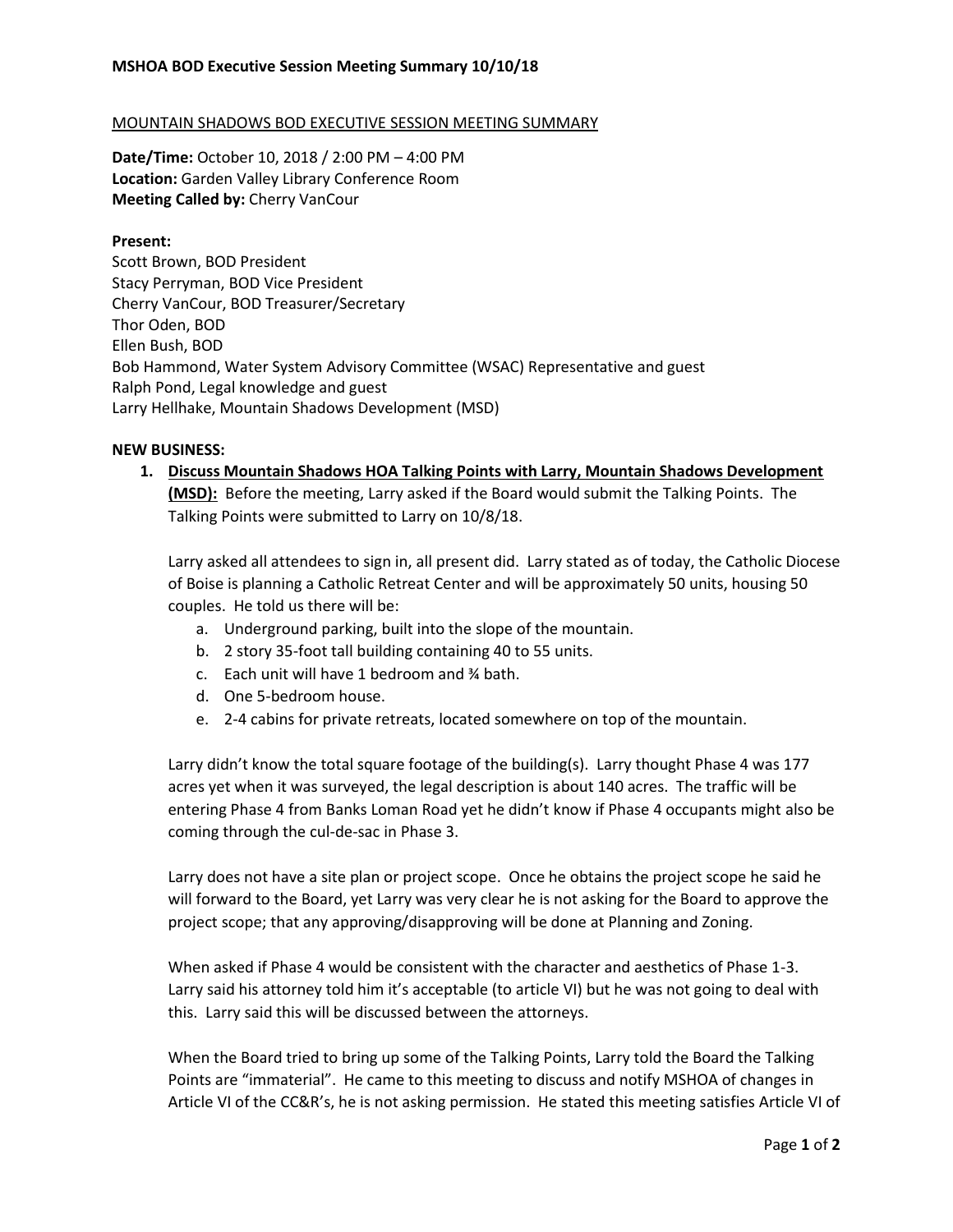## MOUNTAIN SHADOWS BOD EXECUTIVE SESSION MEETING SUMMARY

**Date/Time:** October 10, 2018 / 2:00 PM – 4:00 PM **Location:** Garden Valley Library Conference Room **Meeting Called by:** Cherry VanCour

## **Present:**

Scott Brown, BOD President Stacy Perryman, BOD Vice President Cherry VanCour, BOD Treasurer/Secretary Thor Oden, BOD Ellen Bush, BOD Bob Hammond, Water System Advisory Committee (WSAC) Representative and guest Ralph Pond, Legal knowledge and guest Larry Hellhake, Mountain Shadows Development (MSD)

## **NEW BUSINESS:**

**1. Discuss Mountain Shadows HOA Talking Points with Larry, Mountain Shadows Development (MSD):** Before the meeting, Larry asked if the Board would submit the Talking Points. The Talking Points were submitted to Larry on 10/8/18.

Larry asked all attendees to sign in, all present did. Larry stated as of today, the Catholic Diocese of Boise is planning a Catholic Retreat Center and will be approximately 50 units, housing 50 couples. He told us there will be:

- a. Underground parking, built into the slope of the mountain.
- b. 2 story 35-foot tall building containing 40 to 55 units.
- c. Each unit will have 1 bedroom and ¾ bath.
- d. One 5-bedroom house.
- e. 2-4 cabins for private retreats, located somewhere on top of the mountain.

Larry didn't know the total square footage of the building(s). Larry thought Phase 4 was 177 acres yet when it was surveyed, the legal description is about 140 acres. The traffic will be entering Phase 4 from Banks Loman Road yet he didn't know if Phase 4 occupants might also be coming through the cul-de-sac in Phase 3.

Larry does not have a site plan or project scope. Once he obtains the project scope he said he will forward to the Board, yet Larry was very clear he is not asking for the Board to approve the project scope; that any approving/disapproving will be done at Planning and Zoning.

When asked if Phase 4 would be consistent with the character and aesthetics of Phase 1-3. Larry said his attorney told him it's acceptable (to article VI) but he was not going to deal with this. Larry said this will be discussed between the attorneys.

When the Board tried to bring up some of the Talking Points, Larry told the Board the Talking Points are "immaterial". He came to this meeting to discuss and notify MSHOA of changes in Article VI of the CC&R's, he is not asking permission. He stated this meeting satisfies Article VI of